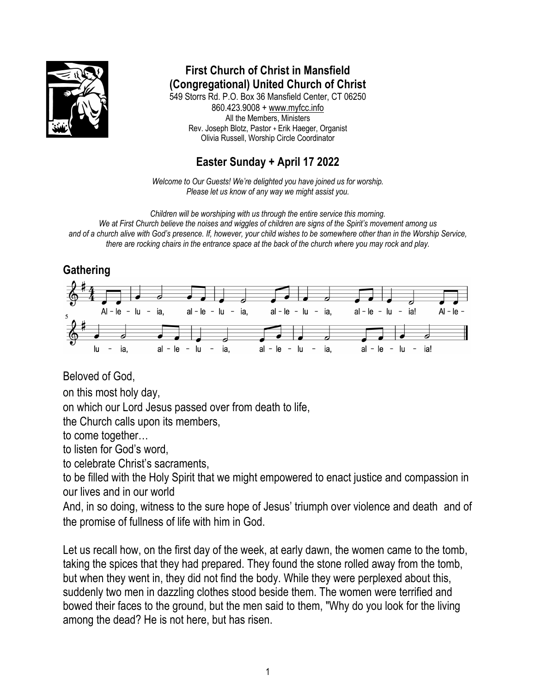

**First Church of Christ in Mansfield (Congregational) United Church of Christ** 549 Storrs Rd. P.O. Box 36 Mansfield Center, CT 06250 860.423.9008 + www.myfcc.info All the Members, Ministers Rev. Joseph Blotz, Pastor + Erik Haeger, Organist Olivia Russell, Worship Circle Coordinator

# **Easter Sunday + April 17 2022**

*Welcome to Our Guests! We're delighted you have joined us for worship. Please let us know of any way we might assist you.*

*Children will be worshiping with us through the entire service this morning. We at First Church believe the noises and wiggles of children are signs of the Spirit's movement among us and of a church alive with God's presence. If, however, your child wishes to be somewhere other than in the Worship Service, there are rocking chairs in the entrance space at the back of the church where you may rock and play.* 

# **Gathering**



Beloved of God,

on this most holy day,

on which our Lord Jesus passed over from death to life,

the Church calls upon its members,

to come together…

to listen for God's word,

to celebrate Christ's sacraments,

to be filled with the Holy Spirit that we might empowered to enact justice and compassion in our lives and in our world

And, in so doing, witness to the sure hope of Jesus' triumph over violence and death and of the promise of fullness of life with him in God.

Let us recall how, on the first day of the week, at early dawn, the women came to the tomb, taking the spices that they had prepared. They found the stone rolled away from the tomb, but when they went in, they did not find the body. While they were perplexed about this, suddenly two men in dazzling clothes stood beside them. The women were terrified and bowed their faces to the ground, but the men said to them, "Why do you look for the living among the dead? He is not here, but has risen.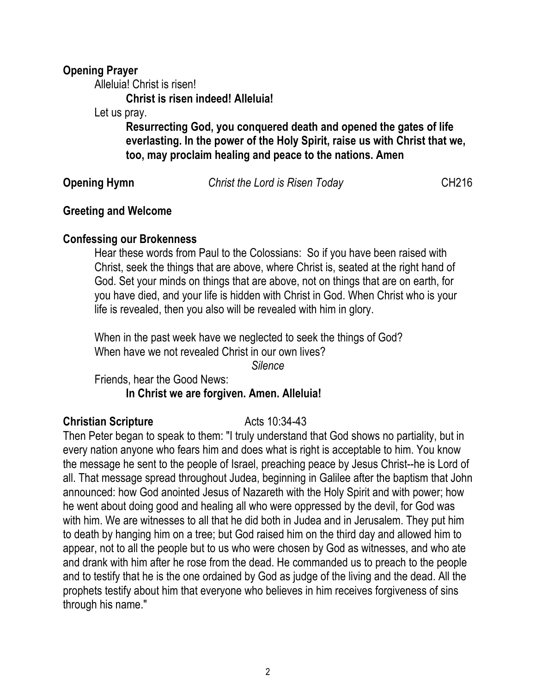### **Opening Prayer**

Alleluia! Christ is risen!

**Christ is risen indeed! Alleluia!**

Let us pray.

**Resurrecting God, you conquered death and opened the gates of life everlasting. In the power of the Holy Spirit, raise us with Christ that we, too, may proclaim healing and peace to the nations. Amen**

**Opening Hymn** *Christ the Lord is Risen Today* **CH216** 

### **Greeting and Welcome**

## **Confessing our Brokenness**

Hear these words from Paul to the Colossians: So if you have been raised with Christ, seek the things that are above, where Christ is, seated at the right hand of God. Set your minds on things that are above, not on things that are on earth, for you have died, and your life is hidden with Christ in God. When Christ who is your life is revealed, then you also will be revealed with him in glory.

When in the past week have we neglected to seek the things of God? When have we not revealed Christ in our own lives?

*Silence*

Friends, hear the Good News: **In Christ we are forgiven. Amen. Alleluia!**

## **Christian Scripture** Acts 10:34-43

Then Peter began to speak to them: "I truly understand that God shows no partiality, but in every nation anyone who fears him and does what is right is acceptable to him. You know the message he sent to the people of Israel, preaching peace by Jesus Christ--he is Lord of all. That message spread throughout Judea, beginning in Galilee after the baptism that John announced: how God anointed Jesus of Nazareth with the Holy Spirit and with power; how he went about doing good and healing all who were oppressed by the devil, for God was with him. We are witnesses to all that he did both in Judea and in Jerusalem. They put him to death by hanging him on a tree; but God raised him on the third day and allowed him to appear, not to all the people but to us who were chosen by God as witnesses, and who ate and drank with him after he rose from the dead. He commanded us to preach to the people and to testify that he is the one ordained by God as judge of the living and the dead. All the prophets testify about him that everyone who believes in him receives forgiveness of sins through his name."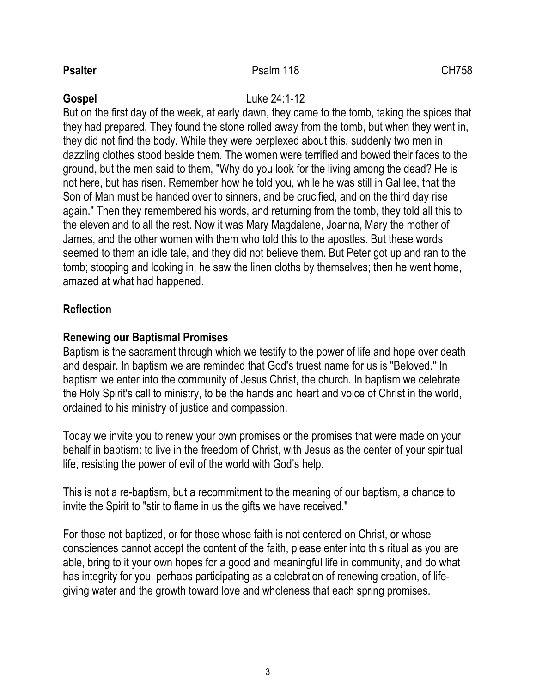## **Psalter** CH758

### **Gospel** Luke 24:1-12

But on the first day of the week, at early dawn, they came to the tomb, taking the spices that they had prepared. They found the stone rolled away from the tomb, but when they went in, they did not find the body. While they were perplexed about this, suddenly two men in dazzling clothes stood beside them. The women were terrified and bowed their faces to the ground, but the men said to them, "Why do you look for the living among the dead? He is not here, but has risen. Remember how he told you, while he was still in Galilee, that the Son of Man must be handed over to sinners, and be crucified, and on the third day rise again." Then they remembered his words, and returning from the tomb, they told all this to the eleven and to all the rest. Now it was Mary Magdalene, Joanna, Mary the mother of James, and the other women with them who told this to the apostles. But these words seemed to them an idle tale, and they did not believe them. But Peter got up and ran to the tomb; stooping and looking in, he saw the linen cloths by themselves; then he went home, amazed at what had happened.

## **Reflection**

## **Renewing our Baptismal Promises**

Baptism is the sacrament through which we testify to the power of life and hope over death and despair. In baptism we are reminded that God's truest name for us is "Beloved." In baptism we enter into the community of Jesus Christ, the church. In baptism we celebrate the Holy Spirit's call to ministry, to be the hands and heart and voice of Christ in the world, ordained to his ministry of justice and compassion.

Today we invite you to renew your own promises or the promises that were made on your behalf in baptism: to live in the freedom of Christ, with Jesus as the center of your spiritual life, resisting the power of evil of the world with God's help.

This is not a re-baptism, but a recommitment to the meaning of our baptism, a chance to invite the Spirit to "stir to flame in us the gifts we have received."

For those not baptized, or for those whose faith is not centered on Christ, or whose consciences cannot accept the content of the faith, please enter into this ritual as you are able, bring to it your own hopes for a good and meaningful life in community, and do what has integrity for you, perhaps participating as a celebration of renewing creation, of lifegiving water and the growth toward love and wholeness that each spring promises.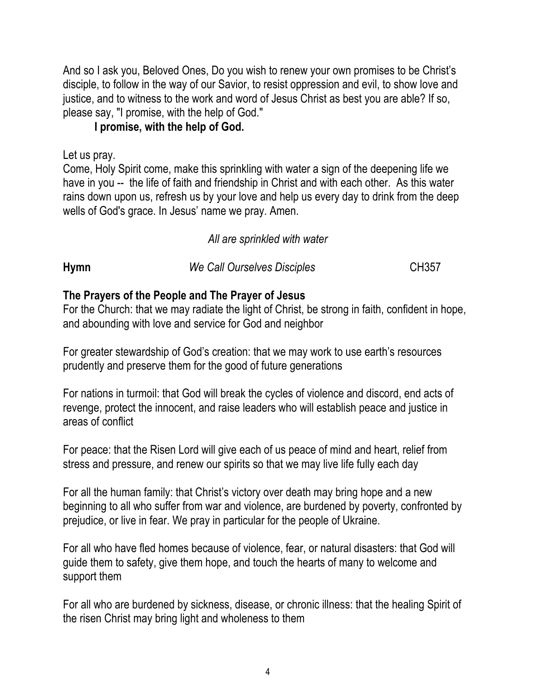And so I ask you, Beloved Ones, Do you wish to renew your own promises to be Christ's disciple, to follow in the way of our Savior, to resist oppression and evil, to show love and justice, and to witness to the work and word of Jesus Christ as best you are able? If so, please say, "I promise, with the help of God."

## **I promise, with the help of God.**

Let us pray.

Come, Holy Spirit come, make this sprinkling with water a sign of the deepening life we have in you -- the life of faith and friendship in Christ and with each other. As this water rains down upon us, refresh us by your love and help us every day to drink from the deep wells of God's grace. In Jesus' name we pray. Amen.

## *All are sprinkled with water*

| Hymn | We Call Ourselves Disciples | <b>CH357</b> |
|------|-----------------------------|--------------|
|      |                             |              |

## **The Prayers of the People and The Prayer of Jesus**

For the Church: that we may radiate the light of Christ, be strong in faith, confident in hope, and abounding with love and service for God and neighbor

For greater stewardship of God's creation: that we may work to use earth's resources prudently and preserve them for the good of future generations

For nations in turmoil: that God will break the cycles of violence and discord, end acts of revenge, protect the innocent, and raise leaders who will establish peace and justice in areas of conflict

For peace: that the Risen Lord will give each of us peace of mind and heart, relief from stress and pressure, and renew our spirits so that we may live life fully each day

For all the human family: that Christ's victory over death may bring hope and a new beginning to all who suffer from war and violence, are burdened by poverty, confronted by prejudice, or live in fear. We pray in particular for the people of Ukraine.

For all who have fled homes because of violence, fear, or natural disasters: that God will guide them to safety, give them hope, and touch the hearts of many to welcome and support them

For all who are burdened by sickness, disease, or chronic illness: that the healing Spirit of the risen Christ may bring light and wholeness to them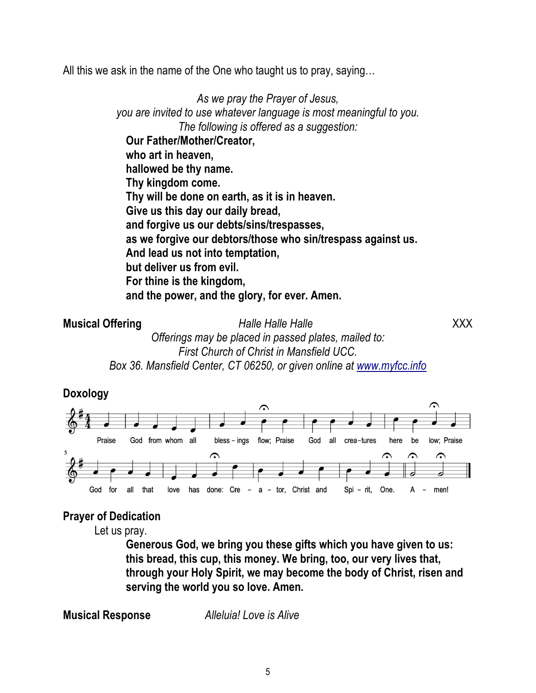All this we ask in the name of the One who taught us to pray, saying…

*As we pray the Prayer of Jesus, you are invited to use whatever language is most meaningful to you. The following is offered as a suggestion:* **Our Father/Mother/Creator, who art in heaven, hallowed be thy name. Thy kingdom come. Thy will be done on earth, as it is in heaven. Give us this day our daily bread, and forgive us our debts/sins/trespasses, as we forgive our debtors/those who sin/trespass against us. And lead us not into temptation, but deliver us from evil. For thine is the kingdom, and the power, and the glory, for ever. Amen.**

**Musical Offering** *Halle Halle Halle* XXX *Offerings may be placed in passed plates, mailed to: First Church of Christ in Mansfield UCC. Box 36. Mansfield Center, CT 06250, or given online at www.myfcc.info*



## **Prayer of Dedication**

Let us pray.

**Generous God, we bring you these gifts which you have given to us: this bread, this cup, this money. We bring, too, our very lives that, through your Holy Spirit, we may become the body of Christ, risen and serving the world you so love. Amen.**

**Musical Response** *Alleluia! Love is Alive*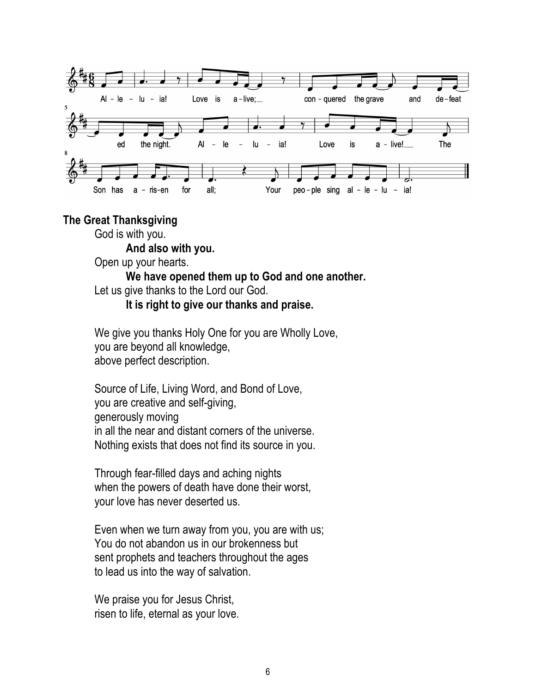

#### **The Great Thanksgiving**

God is with you.

**And also with you.**

Open up your hearts.

## **We have opened them up to God and one another.** Let us give thanks to the Lord our God.

### **It is right to give our thanks and praise.**

We give you thanks Holy One for you are Wholly Love, you are beyond all knowledge, above perfect description.

Source of Life, Living Word, and Bond of Love, you are creative and self-giving, generously moving in all the near and distant corners of the universe. Nothing exists that does not find its source in you.

Through fear-filled days and aching nights when the powers of death have done their worst, your love has never deserted us.

Even when we turn away from you, you are with us; You do not abandon us in our brokenness but sent prophets and teachers throughout the ages to lead us into the way of salvation.

We praise you for Jesus Christ, risen to life, eternal as your love.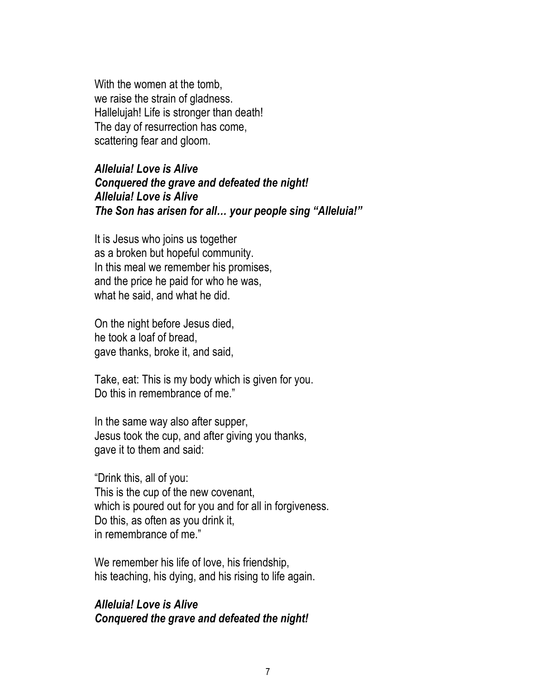With the women at the tomb, we raise the strain of gladness. Hallelujah! Life is stronger than death! The day of resurrection has come, scattering fear and gloom.

## *Alleluia! Love is Alive Conquered the grave and defeated the night! Alleluia! Love is Alive The Son has arisen for all… your people sing "Alleluia!"*

It is Jesus who joins us together as a broken but hopeful community. In this meal we remember his promises, and the price he paid for who he was, what he said, and what he did.

On the night before Jesus died, he took a loaf of bread, gave thanks, broke it, and said,

Take, eat: This is my body which is given for you. Do this in remembrance of me."

In the same way also after supper, Jesus took the cup, and after giving you thanks, gave it to them and said:

"Drink this, all of you: This is the cup of the new covenant, which is poured out for you and for all in forgiveness. Do this, as often as you drink it, in remembrance of me."

We remember his life of love, his friendship, his teaching, his dying, and his rising to life again.

## *Alleluia! Love is Alive Conquered the grave and defeated the night!*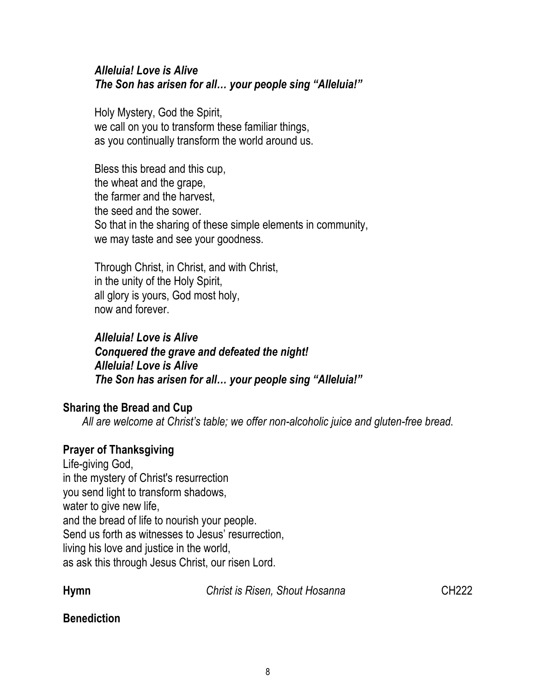## *Alleluia! Love is Alive The Son has arisen for all… your people sing "Alleluia!"*

Holy Mystery, God the Spirit, we call on you to transform these familiar things, as you continually transform the world around us.

Bless this bread and this cup, the wheat and the grape, the farmer and the harvest, the seed and the sower. So that in the sharing of these simple elements in community, we may taste and see your goodness.

Through Christ, in Christ, and with Christ, in the unity of the Holy Spirit, all glory is yours, God most holy, now and forever.

*Alleluia! Love is Alive Conquered the grave and defeated the night! Alleluia! Love is Alive The Son has arisen for all… your people sing "Alleluia!"*

## **Sharing the Bread and Cup**

*All are welcome at Christ's table; we offer non-alcoholic juice and gluten-free bread.*

## **Prayer of Thanksgiving**

Life-giving God, in the mystery of Christ's resurrection you send light to transform shadows, water to give new life, and the bread of life to nourish your people. Send us forth as witnesses to Jesus' resurrection, living his love and justice in the world, as ask this through Jesus Christ, our risen Lord.

**Hymn** *Christ is Risen, Shout Hosanna* CH222

## **Benediction**